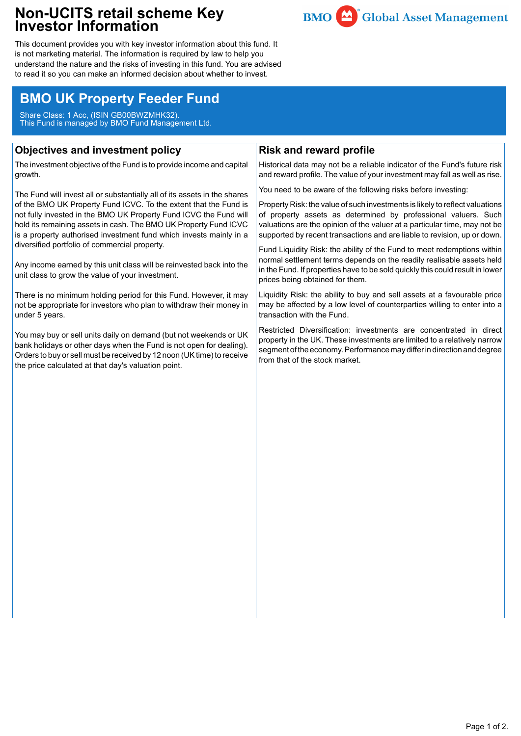## **Non-UCITS retail scheme Key Investor Information**



This document provides you with key investor information about this fund. It is not marketing material. The information is required by law to help you understand the nature and the risks of investing in this fund. You are advised to read it so you can make an informed decision about whether to invest.

# **BMO UK Property Feeder Fund**

Share Class: 1 Acc, (ISIN GB00BWZMHK32). This Fund is managed by BMO Fund Management Ltd.

## **Objectives and investment policy**

The investment objective of the Fund is to provide income and capital growth.

The Fund will invest all or substantially all of its assets in the shares of the BMO UK Property Fund ICVC. To the extent that the Fund is not fully invested in the BMO UK Property Fund ICVC the Fund will hold its remaining assets in cash. The BMO UK Property Fund ICVC is a property authorised investment fund which invests mainly in a diversified portfolio of commercial property.

Any income earned by this unit class will be reinvested back into the unit class to grow the value of your investment.

There is no minimum holding period for this Fund. However, it may not be appropriate for investors who plan to withdraw their money in under 5 years.

You may buy or sell units daily on demand (but not weekends or UK bank holidays or other days when the Fund is not open for dealing). Orders to buy or sell must be received by 12 noon (UK time) to receive the price calculated at that day's valuation point.

## **Risk and reward profile**

Historical data may not be a reliable indicator of the Fund's future risk and reward profile. The value of your investment may fall as well as rise.

You need to be aware of the following risks before investing:

Property Risk: the value of such investments is likely to reflect valuations of property assets as determined by professional valuers. Such valuations are the opinion of the valuer at a particular time, may not be supported by recent transactions and are liable to revision, up or down.

Fund Liquidity Risk: the ability of the Fund to meet redemptions within normal settlement terms depends on the readily realisable assets held in the Fund. If properties have to be sold quickly this could result in lower prices being obtained for them.

Liquidity Risk: the ability to buy and sell assets at a favourable price may be affected by a low level of counterparties willing to enter into a transaction with the Fund.

Restricted Diversification: investments are concentrated in direct property in the UK. These investments are limited to a relatively narrow segment of the economy. Performance may differ in direction and degree from that of the stock market.